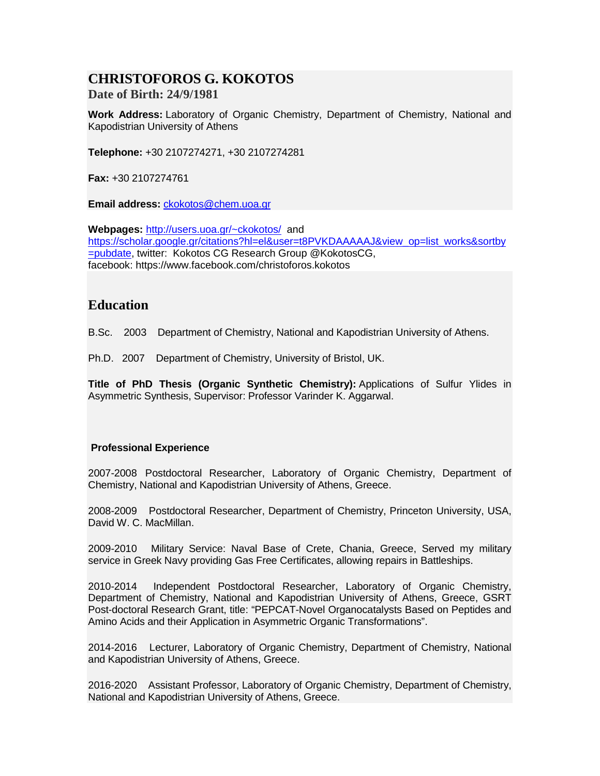# **CHRISTOFOROS G. KOKOTOS**

**Date of Birth: 24/9/1981**

**Work Address:** Laboratory of Organic Chemistry, Department of Chemistry, National and Kapodistrian University of Athens

**Telephone:** +30 2107274271, +30 2107274281

**Fax:** +30 2107274761

**Email address:** [ckokotos@chem.uoa.gr](mailto:ckokotos@chem.uoa.gr)

**Webpages:** [http://users.uoa.gr/~ckokotos/](http://users.uoa.gr/%7Eckokotos/) and [https://scholar.google.gr/citations?hl=el&user=t8PVKDAAAAAJ&view\\_op=list\\_works&sortby](https://scholar.google.gr/citations?hl=el&user=t8PVKDAAAAAJ&view_op=list_works&sortby=pubdate) [=pubdate,](https://scholar.google.gr/citations?hl=el&user=t8PVKDAAAAAJ&view_op=list_works&sortby=pubdate) twitter: Kokotos CG Research Group @KokotosCG, facebook: https://www.facebook.com/christoforos.kokotos

## **Education**

B.Sc. 2003 Department of Chemistry, National and Kapodistrian University of Athens.

Ph.D. 2007 Department of Chemistry, University of Bristol, UK.

**Title of PhD Thesis (Organic Synthetic Chemistry):** Applications of Sulfur Ylides in Asymmetric Synthesis, Supervisor: Professor Varinder K. Aggarwal.

### **Professional Experience**

2007-2008 Postdoctoral Researcher, Laboratory of Organic Chemistry, Department of Chemistry, National and Kapodistrian University of Athens, Greece.

2008-2009 Postdoctoral Researcher, Department of Chemistry, Princeton University, USA, David W. C. MacMillan.

2009-2010 Military Service: Naval Base of Crete, Chania, Greece, Served my military service in Greek Navy providing Gas Free Certificates, allowing repairs in Battleships.

2010-2014 Independent Postdoctoral Researcher, Laboratory of Organic Chemistry, Department of Chemistry, National and Kapodistrian University of Athens, Greece, GSRT Post-doctoral Research Grant, title: "PEPCAT-Novel Organocatalysts Based on Peptides and Amino Acids and their Application in Asymmetric Organic Transformations".

2014-2016 Lecturer, Laboratory of Organic Chemistry, Department of Chemistry, National and Kapodistrian University of Athens, Greece.

2016-2020 Assistant Professor, Laboratory of Organic Chemistry, Department of Chemistry, National and Kapodistrian University of Athens, Greece.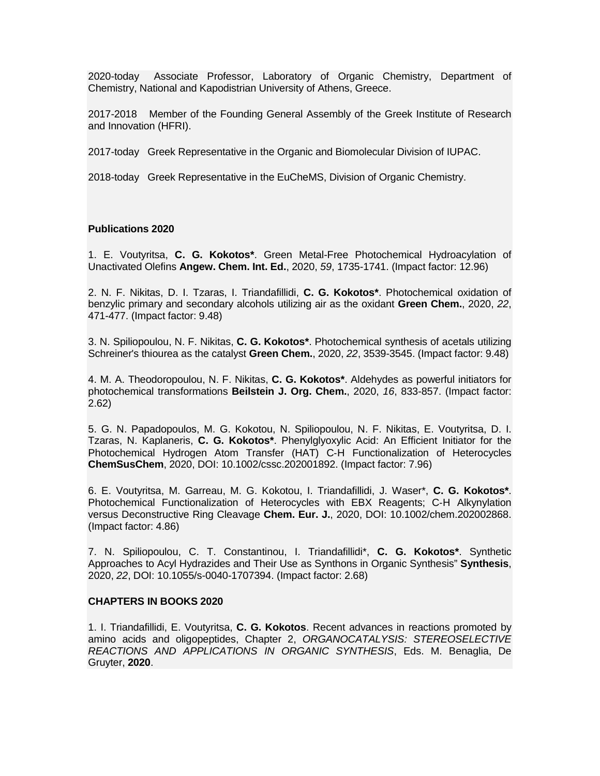2020-today Associate Professor, Laboratory of Organic Chemistry, Department of Chemistry, National and Kapodistrian University of Athens, Greece.

2017-2018 Member of the Founding General Assembly of the Greek Institute of Research and Innovation (HFRI).

2017-today Greek Representative in the Organic and Biomolecular Division of IUPAC.

2018-today Greek Representative in the EuCheMS, Division of Organic Chemistry.

#### **Publications 2020**

1. E. Voutyritsa, **C. G. Kokotos\***. Green Metal-Free Photochemical Hydroacylation of Unactivated Olefins **Angew. Chem. Int. Ed.**, 2020, *59*, 1735-1741. (Impact factor: 12.96)

2. N. F. Nikitas, D. I. Tzaras, I. Triandafillidi, **C. G. Kokotos\***. Photochemical oxidation of benzylic primary and secondary alcohols utilizing air as the oxidant **Green Chem.**, 2020, *22*, 471-477. (Impact factor: 9.48)

3. N. Spiliopoulou, N. F. Nikitas, **C. G. Kokotos\***. Photochemical synthesis of acetals utilizing Schreiner's thiourea as the catalyst **Green Chem.**, 2020, *22*, 3539-3545. (Impact factor: 9.48)

4. M. A. Theodoropoulou, N. F. Nikitas, **C. G. Kokotos\***. Aldehydes as powerful initiators for photochemical transformations **Beilstein J. Org. Chem.**, 2020, *16*, 833-857. (Impact factor: 2.62)

5. G. N. Papadopoulos, M. G. Kokotou, N. Spiliopoulou, N. F. Nikitas, E. Voutyritsa, D. I. Tzaras, N. Kaplaneris, **C. G. Kokotos\***. Phenylglyoxylic Acid: An Efficient Initiator for the Photochemical Hydrogen Atom Transfer (HAT) C‐H Functionalization of Heterocycles **ChemSusChem**, 2020, DOI: 10.1002/cssc.202001892. (Impact factor: 7.96)

6. E. Voutyritsa, M. Garreau, M. G. Kokotou, I. Triandafillidi, J. Waser\*, **C. G. Kokotos\***. Photochemical Functionalization of Heterocycles with EBX Reagents; C‐H Alkynylation versus Deconstructive Ring Cleavage **Chem. Eur. J.**, 2020, DOI: 10.1002/chem.202002868. (Impact factor: 4.86)

7. N. Spiliopoulou, C. T. Constantinou, I. Triandafillidi\*, **C. G. Kokotos\***. Synthetic Approaches to Acyl Hydrazides and Their Use as Synthons in Organic Synthesis" **Synthesis**, 2020, *22*, DOI: 10.1055/s-0040-1707394. (Impact factor: 2.68)

#### **CHAPTERS IN BOOKS 2020**

1. I. Triandafillidi, E. Voutyritsa, **C. G. Kokotos**. Recent advances in reactions promoted by amino acids and oligopeptides, Chapter 2, *ORGANOCATALYSIS: STEREOSELECTIVE REACTIONS AND APPLICATIONS IN ORGANIC SYNTHESIS*, Eds. M. Benaglia, De Gruyter, **2020**.